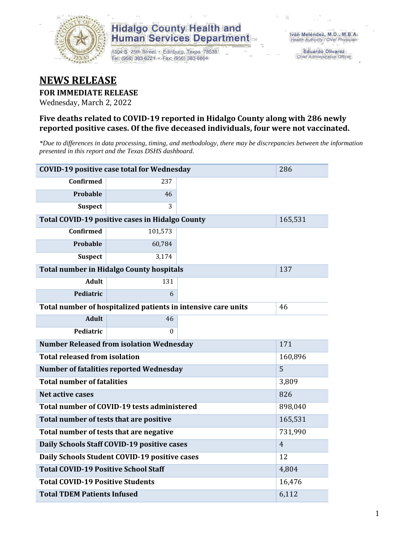

1304 S. 25th Street · Edinburg, Texas 78539 Tel: (956) 383-6221 · Fax: (956) 383-8864

**Eduardo Olivarez** Chief Administrative Officer

### **NEWS RELEASE**

#### **FOR IMMEDIATE RELEASE**

Wednesday, March 2, 2022

#### **Five deaths related to COVID-19 reported in Hidalgo County along with 286 newly reported positive cases. Of the five deceased individuals, four were not vaccinated.**

*\*Due to differences in data processing, timing, and methodology, there may be discrepancies between the information presented in this report and the Texas DSHS dashboard.*

| <b>COVID-19 positive case total for Wednesday</b>             | 286                                             |                |         |  |  |  |
|---------------------------------------------------------------|-------------------------------------------------|----------------|---------|--|--|--|
| <b>Confirmed</b>                                              | 237                                             |                |         |  |  |  |
| Probable                                                      | 46                                              |                |         |  |  |  |
| <b>Suspect</b>                                                | 3                                               |                |         |  |  |  |
| Total COVID-19 positive cases in Hidalgo County               | 165,531                                         |                |         |  |  |  |
| Confirmed                                                     | 101,573                                         |                |         |  |  |  |
| Probable                                                      | 60,784                                          |                |         |  |  |  |
| <b>Suspect</b>                                                | 3,174                                           |                |         |  |  |  |
|                                                               | <b>Total number in Hidalgo County hospitals</b> |                | 137     |  |  |  |
| <b>Adult</b>                                                  | 131                                             |                |         |  |  |  |
| Pediatric                                                     | 6                                               |                |         |  |  |  |
| Total number of hospitalized patients in intensive care units | 46                                              |                |         |  |  |  |
| <b>Adult</b>                                                  | 46                                              |                |         |  |  |  |
| Pediatric                                                     | 0                                               |                |         |  |  |  |
| <b>Number Released from isolation Wednesday</b><br>171        |                                                 |                |         |  |  |  |
| <b>Total released from isolation</b><br>160,896               |                                                 |                |         |  |  |  |
| 5<br><b>Number of fatalities reported Wednesday</b>           |                                                 |                |         |  |  |  |
| <b>Total number of fatalities</b>                             | 3,809                                           |                |         |  |  |  |
| Net active cases                                              |                                                 |                | 826     |  |  |  |
|                                                               | Total number of COVID-19 tests administered     |                | 898,040 |  |  |  |
| Total number of tests that are positive                       |                                                 | 165,531        |         |  |  |  |
| Total number of tests that are negative                       |                                                 | 731,990        |         |  |  |  |
| Daily Schools Staff COVID-19 positive cases                   |                                                 | $\overline{4}$ |         |  |  |  |
| Daily Schools Student COVID-19 positive cases                 |                                                 | 12             |         |  |  |  |
| <b>Total COVID-19 Positive School Staff</b>                   | 4,804                                           |                |         |  |  |  |
| <b>Total COVID-19 Positive Students</b><br>16,476             |                                                 |                |         |  |  |  |
| <b>Total TDEM Patients Infused</b>                            | 6,112                                           |                |         |  |  |  |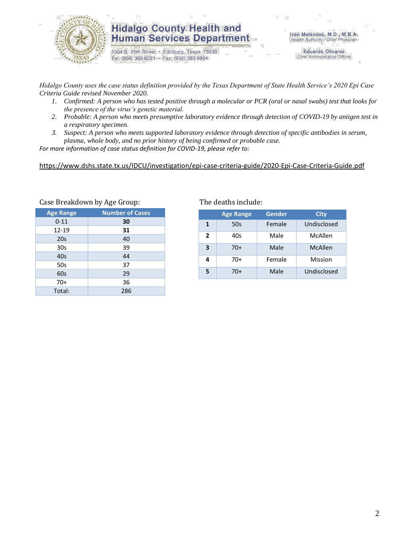

1304 S. 25th Street · Edinburg, Texas 78539 Tel: (956) 383-6221 · Fax: (956) 383-8864

**Eduardo Olivarez** Chief Administrative Officer

*Hidalgo County uses the case status definition provided by the Texas Department of State Health Service's 2020 Epi Case Criteria Guide revised November 2020.*

- *1. Confirmed: A person who has tested positive through a molecular or PCR (oral or nasal swabs) test that looks for the presence of the virus's genetic material.*
- *2. Probable: A person who meets presumptive laboratory evidence through detection of COVID-19 by antigen test in a respiratory specimen.*
- *3. Suspect: A person who meets supported laboratory evidence through detection of specific antibodies in serum, plasma, whole body, and no prior history of being confirmed or probable case.*

*For more information of case status definition for COVID-19, please refer to:*

<https://www.dshs.state.tx.us/IDCU/investigation/epi-case-criteria-guide/2020-Epi-Case-Criteria-Guide.pdf>

|                  | ╯<br>ັ                 |
|------------------|------------------------|
| <b>Age Range</b> | <b>Number of Cases</b> |
| $0 - 11$         | 30                     |
| 12-19            | 31                     |
| 20s              | 40                     |
| 30 <sub>s</sub>  | 39                     |
| 40s              | 44                     |
| 50s              | 37                     |
| 60s              | 29                     |
| $70+$            | 36                     |
| Total:           | 286                    |
|                  |                        |

#### Case Breakdown by Age Group: The deaths include:

|                | <b>Age Range</b> | Gender | <b>City</b> |
|----------------|------------------|--------|-------------|
| 1              | 50s              | Female | Undisclosed |
| $\overline{2}$ | 40s              | Male   | McAllen     |
| 3              | $70+$            | Male   | McAllen     |
| 4              | 70+              | Female | Mission     |
| 5              | 70+              | Male   | Undisclosed |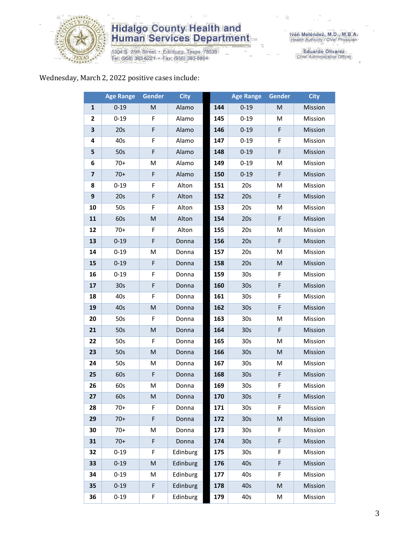

1304 S. 25th Street • Edinburg, Texas 78539<br>Tel: (956) 383-6221 • Fax: (956) 383-8864

Iván Meléndez, M.D., M.B.A.<br>Health Authority / Chief Physician

Eduardo Olivarez<br>Chief Administrative Officer

#### Wednesday, March 2, 2022 positive cases include:

|    | <b>Age Range</b> | Gender | <b>City</b> |     | <b>Age Range</b> | Gender                                                                                                     | <b>City</b> |
|----|------------------|--------|-------------|-----|------------------|------------------------------------------------------------------------------------------------------------|-------------|
| 1  | $0 - 19$         | M      | Alamo       | 144 | $0 - 19$         | ${\sf M}$                                                                                                  | Mission     |
| 2  | $0 - 19$         | F      | Alamo       | 145 | $0 - 19$         | M                                                                                                          | Mission     |
| 3  | 20s              | F      | Alamo       | 146 | $0 - 19$         | F                                                                                                          | Mission     |
| 4  | 40s              | F      | Alamo       | 147 | $0 - 19$         | F                                                                                                          | Mission     |
| 5  | 50s              | F      | Alamo       | 148 | $0 - 19$         | F                                                                                                          | Mission     |
| 6  | $70+$            | M      | Alamo       | 149 | $0 - 19$         | M                                                                                                          | Mission     |
| 7  | $70+$            | F      | Alamo       | 150 | $0 - 19$         | F                                                                                                          | Mission     |
| 8  | $0 - 19$         | F      | Alton       | 151 | 20s              | M                                                                                                          | Mission     |
| 9  | 20s              | F      | Alton       | 152 | 20s              | F                                                                                                          | Mission     |
| 10 | 50s              | F      | Alton       | 153 | 20s              | M                                                                                                          | Mission     |
| 11 | 60s              | M      | Alton       | 154 | 20s              | F                                                                                                          | Mission     |
| 12 | $70+$            | F      | Alton       | 155 | 20s              | M                                                                                                          | Mission     |
| 13 | $0 - 19$         | F      | Donna       | 156 | 20s              | F                                                                                                          | Mission     |
| 14 | $0 - 19$         | M      | Donna       | 157 | 20s              | M                                                                                                          | Mission     |
| 15 | $0 - 19$         | F      | Donna       | 158 | 20s              | ${\sf M}$                                                                                                  | Mission     |
| 16 | $0 - 19$         | F      | Donna       | 159 | 30 <sub>s</sub>  | F                                                                                                          | Mission     |
| 17 | 30 <sub>s</sub>  | F      | Donna       | 160 | 30 <sub>s</sub>  | F                                                                                                          | Mission     |
| 18 | 40s              | F      | Donna       | 161 | 30 <sub>s</sub>  | F                                                                                                          | Mission     |
| 19 | 40s              | M      | Donna       | 162 | 30 <sub>s</sub>  | F                                                                                                          | Mission     |
| 20 | 50s              | F      | Donna       | 163 | 30 <sub>s</sub>  | M                                                                                                          | Mission     |
| 21 | 50s              | M      | Donna       | 164 | 30 <sub>s</sub>  | F                                                                                                          | Mission     |
| 22 | 50s              | F      | Donna       | 165 | 30 <sub>s</sub>  | M                                                                                                          | Mission     |
| 23 | 50s              | M      | Donna       | 166 | 30 <sub>s</sub>  | $\mathsf{M}% _{T}=\mathsf{M}_{T}\!\left( a,b\right) ,\ \mathsf{M}_{T}=\mathsf{M}_{T}\!\left( a,b\right) ,$ | Mission     |
| 24 | 50s              | M      | Donna       | 167 | 30 <sub>s</sub>  | M                                                                                                          | Mission     |
| 25 | 60s              | F      | Donna       | 168 | 30 <sub>s</sub>  | F                                                                                                          | Mission     |
| 26 | 60s              | M      | Donna       | 169 | 30 <sub>s</sub>  | F                                                                                                          | Mission     |
| 27 | 60s              | M      | Donna       | 170 | 30 <sub>s</sub>  | F                                                                                                          | Mission     |
| 28 | $70+$            | F.     | Donna       | 171 | 30s              | F.                                                                                                         | Mission     |
| 29 | $70+$            | F      | Donna       | 172 | 30 <sub>s</sub>  | ${\sf M}$                                                                                                  | Mission     |
| 30 | $70+$            | M      | Donna       | 173 | 30 <sub>s</sub>  | F                                                                                                          | Mission     |
| 31 | $70+$            | F      | Donna       | 174 | 30 <sub>s</sub>  | F                                                                                                          | Mission     |
| 32 | $0 - 19$         | F      | Edinburg    | 175 | 30 <sub>s</sub>  | F                                                                                                          | Mission     |
| 33 | $0 - 19$         | M      | Edinburg    | 176 | 40s              | F                                                                                                          | Mission     |
| 34 | $0 - 19$         | M      | Edinburg    | 177 | 40s              | F                                                                                                          | Mission     |
| 35 | $0 - 19$         | F      | Edinburg    | 178 | 40s              | M                                                                                                          | Mission     |
| 36 | $0 - 19$         | F      | Edinburg    | 179 | 40s              | M                                                                                                          | Mission     |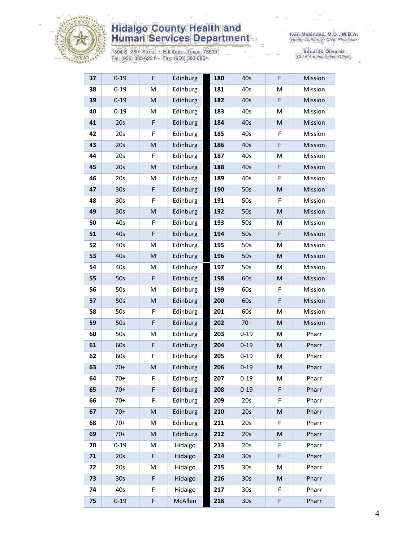

1304 S. 25th Street • Edinburg, Texas 78539<br>Tel: (956) 383-6221 • Fax: (956) 383-8864

Iván Meléndez, M.D., M.B.A.<br>Health Authority / Chief Physician

Eduardo Olivarez<br>Chief Administrative Officer

| 37 | $0 - 19$        | F           | Edinburg | 180 | 40s             | F         | Mission |
|----|-----------------|-------------|----------|-----|-----------------|-----------|---------|
| 38 | $0 - 19$        | M           | Edinburg | 181 | 40s             | M         | Mission |
| 39 | $0 - 19$        | ${\sf M}$   | Edinburg | 182 | 40s             | F         | Mission |
| 40 | $0 - 19$        | М           | Edinburg | 183 | 40s             | M         | Mission |
| 41 | 20s             | F           | Edinburg | 184 | 40s             | M         | Mission |
| 42 | 20s             | F           | Edinburg | 185 | 40s             | F         | Mission |
| 43 | 20s             | ${\sf M}$   | Edinburg | 186 | 40s             | F         | Mission |
| 44 | 20s             | F           | Edinburg | 187 | 40s             | M         | Mission |
| 45 | 20s             | M           | Edinburg | 188 | 40s             | F         | Mission |
| 46 | 20s             | M           | Edinburg | 189 | 40s             | F         | Mission |
| 47 | 30s             | $\mathsf F$ | Edinburg | 190 | 50s             | ${\sf M}$ | Mission |
| 48 | 30 <sub>s</sub> | F           | Edinburg | 191 | 50s             | F         | Mission |
| 49 | 30s             | ${\sf M}$   | Edinburg | 192 | 50s             | M         | Mission |
| 50 | 40s             | F           | Edinburg | 193 | 50s             | M         | Mission |
| 51 | 40s             | F           | Edinburg | 194 | 50s             | F         | Mission |
| 52 | 40s             | M           | Edinburg | 195 | 50s             | M         | Mission |
| 53 | 40s             | M           | Edinburg | 196 | 50s             | M         | Mission |
| 54 | 40s             | M           | Edinburg | 197 | 50s             | M         | Mission |
| 55 | 50s             | F           | Edinburg | 198 | 60s             | M         | Mission |
| 56 | 50s             | M           | Edinburg | 199 | 60s             | F         | Mission |
| 57 | 50s             | ${\sf M}$   | Edinburg | 200 | 60s             | F         | Mission |
| 58 | 50s             | F           | Edinburg | 201 | 60s             | M         | Mission |
| 59 | 50s             | F           | Edinburg | 202 | $70+$           | M         | Mission |
| 60 | 50s             | М           | Edinburg | 203 | $0 - 19$        | M         | Pharr   |
| 61 | 60s             | $\mathsf F$ | Edinburg | 204 | $0 - 19$        | M         | Pharr   |
| 62 | 60s             | F           | Edinburg | 205 | $0 - 19$        | M         | Pharr   |
| 63 | $70+$           | ${\sf M}$   | Edinburg | 206 | $0 - 19$        | ${\sf M}$ | Pharr   |
| 64 | $70+$           | F           | Edinburg | 207 | $0 - 19$        | M         | Pharr   |
| 65 | $70+$           | F           | Edinburg | 208 | $0 - 19$        | F         | Pharr   |
| 66 | $70+$           | F           | Edinburg | 209 | 20s             | F         | Pharr   |
| 67 | $70+$           | ${\sf M}$   | Edinburg | 210 | 20s             | M         | Pharr   |
| 68 | $70+$           | M           | Edinburg | 211 | 20s             | F         | Pharr   |
| 69 | $70+$           | ${\sf M}$   | Edinburg | 212 | 20s             | M         | Pharr   |
| 70 | $0 - 19$        | M           | Hidalgo  | 213 | 20s             | F         | Pharr   |
| 71 | 20s             | F           | Hidalgo  | 214 | 30 <sub>s</sub> | F         | Pharr   |
| 72 | 20s             | M           | Hidalgo  | 215 | 30 <sub>s</sub> | M         | Pharr   |
| 73 | 30 <sub>s</sub> | F           | Hidalgo  | 216 | 30 <sub>s</sub> | ${\sf M}$ | Pharr   |
| 74 | 40s             | F           | Hidalgo  | 217 | 30 <sub>s</sub> | F         | Pharr   |
| 75 | $0 - 19$        | F           | McAllen  | 218 | 30s             | F         | Pharr   |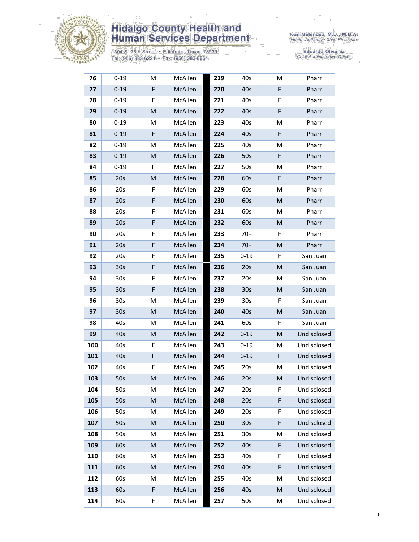

1304 S. 25th Street • Edinburg, Texas 78539<br>Tel: (956) 383-6221 • Fax: (956) 383-8864

Eduardo Olivarez<br>Chief Administrative Officer

| 76  | $0 - 19$        | M         | McAllen | 219 | 40s             | M | Pharr       |
|-----|-----------------|-----------|---------|-----|-----------------|---|-------------|
| 77  | $0 - 19$        | F         | McAllen | 220 | 40s             | F | Pharr       |
| 78  | $0 - 19$        | F         | McAllen | 221 | 40s             | F | Pharr       |
| 79  | $0 - 19$        | M         | McAllen | 222 | 40s             | F | Pharr       |
| 80  | $0 - 19$        | M         | McAllen | 223 | 40s             | M | Pharr       |
| 81  | $0 - 19$        | F         | McAllen | 224 | 40s             | F | Pharr       |
| 82  | $0 - 19$        | M         | McAllen | 225 | 40s             | м | Pharr       |
| 83  | $0 - 19$        | M         | McAllen | 226 | 50s             | F | Pharr       |
| 84  | $0 - 19$        | F.        | McAllen | 227 | 50s             | М | Pharr       |
| 85  | 20s             | ${\sf M}$ | McAllen | 228 | 60s             | F | Pharr       |
| 86  | 20s             | F         | McAllen | 229 | 60s             | M | Pharr       |
| 87  | 20s             | F         | McAllen | 230 | 60s             | M | Pharr       |
| 88  | 20s             | F         | McAllen | 231 | 60s             | M | Pharr       |
| 89  | 20s             | F         | McAllen | 232 | 60s             | M | Pharr       |
| 90  | 20s             | F         | McAllen | 233 | $70+$           | F | Pharr       |
| 91  | 20s             | F         | McAllen | 234 | $70+$           | M | Pharr       |
| 92  | 20s             | F         | McAllen | 235 | $0 - 19$        | F | San Juan    |
| 93  | 30 <sub>s</sub> | F         | McAllen | 236 | 20s             | M | San Juan    |
| 94  | 30 <sub>s</sub> | F         | McAllen | 237 | 20s             | м | San Juan    |
| 95  | 30 <sub>s</sub> | F         | McAllen | 238 | 30 <sub>s</sub> | M | San Juan    |
| 96  | 30 <sub>s</sub> | M         | McAllen | 239 | 30 <sub>s</sub> | F | San Juan    |
| 97  | 30 <sub>s</sub> | M         | McAllen | 240 | 40s             | M | San Juan    |
| 98  | 40s             | M         | McAllen | 241 | 60s             | F | San Juan    |
| 99  | 40s             | M         | McAllen | 242 | $0 - 19$        | M | Undisclosed |
| 100 | 40s             | F         | McAllen | 243 | $0 - 19$        | M | Undisclosed |
| 101 | 40s             | F         | McAllen | 244 | $0 - 19$        | F | Undisclosed |
| 102 | 40s             | F         | McAllen | 245 | 20s             | M | Undisclosed |
| 103 | 50s             | M         | McAllen | 246 | 20s             | M | Undisclosed |
| 104 | 50s             | M         | McAllen | 247 | 20s             | F | Undisclosed |
| 105 | 50s             | ${\sf M}$ | McAllen | 248 | 20s             | F | Undisclosed |
| 106 | 50s             | M         | McAllen | 249 | 20s             | F | Undisclosed |
| 107 | 50s             | ${\sf M}$ | McAllen | 250 | 30 <sub>s</sub> | F | Undisclosed |
| 108 | 50s             | M         | McAllen | 251 | 30 <sub>s</sub> | M | Undisclosed |
| 109 | 60s             | ${\sf M}$ | McAllen | 252 | 40s             | F | Undisclosed |
| 110 | 60s             | M         | McAllen | 253 | 40s             | F | Undisclosed |
| 111 | 60s             | ${\sf M}$ | McAllen | 254 | 40s             | F | Undisclosed |
| 112 | 60s             | M         | McAllen | 255 | 40s             | M | Undisclosed |
| 113 | 60s             | F         | McAllen | 256 | 40s             | M | Undisclosed |
| 114 | 60s             | F         | McAllen | 257 | 50s             | M | Undisclosed |